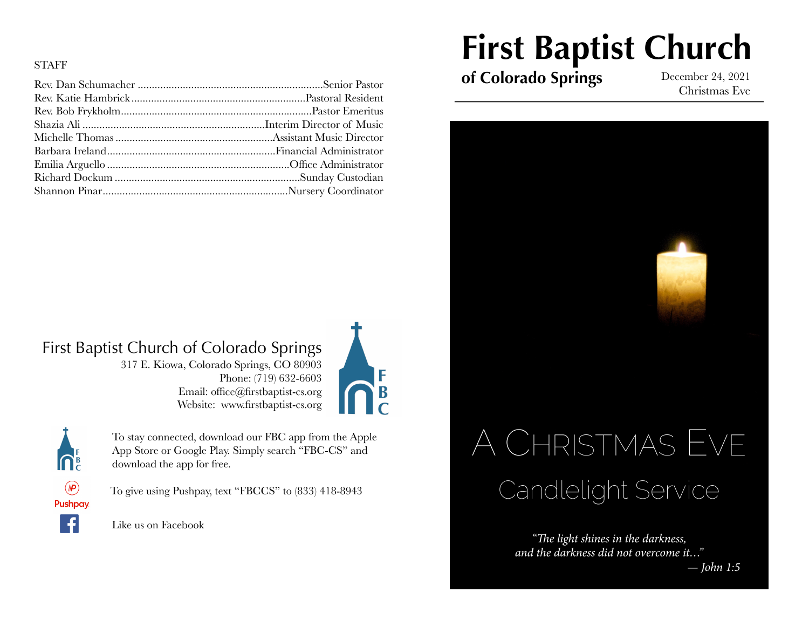#### STAFF

## First Baptist Church of Colorado Springs

317 E. Kiowa, Colorado Springs, CO 80903 Phone: (719) 632-6603 Email: office@firstbaptist-cs.org Website: www.firstbaptist-cs.org





To give using Pushpay, text "FBCCS" to (833) 418-8943

To stay connected, download our FBC app from the Apple App Store or Google Play. Simply search "FBC-CS" and

Like us on Facebook

download the app for free.

# **First Baptist Church**

**of Colorado Springs** December 24, 2021

Christmas Eve



*"*Th*e light shines in the darkness, and the darkness did not overcome it…"*

*— John 1:5*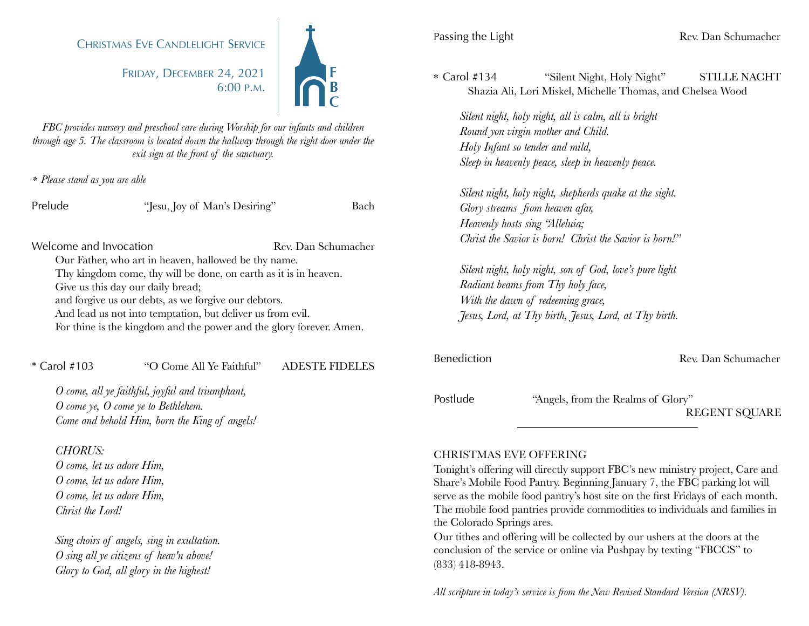### CHRISTMAS EVE CANDLELIGHT SERVICE

FRIDAY, DECEMBER 24, 2021 6:00 P.M.



*FBC provides nursery and preschool care during Worship for our infants and children through age 5. The classroom is located down the hallway through the right door under the exit sign at the front of the sanctuary.* 

*\* Please stand as you are able*

| Prelude | "Jesu, Joy of Man's Desiring" | Bach |
|---------|-------------------------------|------|
|---------|-------------------------------|------|

Welcome and Invocation Rev. Dan Schumacher Our Father, who art in heaven, hallowed be thy name. Thy kingdom come, thy will be done, on earth as it is in heaven. Give us this day our daily bread; and forgive us our debts, as we forgive our debtors. And lead us not into temptation, but deliver us from evil. For thine is the kingdom and the power and the glory forever. Amen.

#### \* Carol #103 "O Come All Ye Faithful" ADESTE FIDELES

*O come, all ye faithful, joyful and triumphant, O come ye, O come ye to Bethlehem. Come and behold Him, born the King of angels!*

#### *CHORUS:*

*O come, let us adore Him, O come, let us adore Him, O come, let us adore Him, Christ the Lord!*

*Sing choirs of angels, sing in exultation. O sing all ye citizens of heav'n above! Glory to God, all glory in the highest!*

\* Carol #134 "Silent Night, Holy Night" STILLE NACHT Shazia Ali, Lori Miskel, Michelle Thomas, and Chelsea Wood

*Silent night, holy night, all is calm, all is bright Round yon virgin mother and Child. Holy Infant so tender and mild, Sleep in heavenly peace, sleep in heavenly peace.*

*Silent night, holy night, shepherds quake at the sight. Glory streams from heaven afar, Heavenly hosts sing "Alleluia; Christ the Savior is born! Christ the Savior is born!"*

*Silent night, holy night, son of God, love's pure light Radiant beams from Thy holy face, With the dawn of redeeming grace, Jesus, Lord, at Thy birth, Jesus, Lord, at Thy birth.*

Benediction Rev. Dan Schumacher

| Postlude |
|----------|
|----------|

"Angels, from the Realms of Glory"

REGENT SQUARE

#### CHRISTMAS EVE OFFERING

Tonight's offering will directly support FBC's new ministry project, Care and Share's Mobile Food Pantry. Beginning January 7, the FBC parking lot will serve as the mobile food pantry's host site on the first Fridays of each month. The mobile food pantries provide commodities to individuals and families in the Colorado Springs ares.

Our tithes and offering will be collected by our ushers at the doors at the conclusion of the service or online via Pushpay by texting "FBCCS" to (833) 418-8943.

*All scripture in today's service is from the New Revised Standard Version (NRSV).*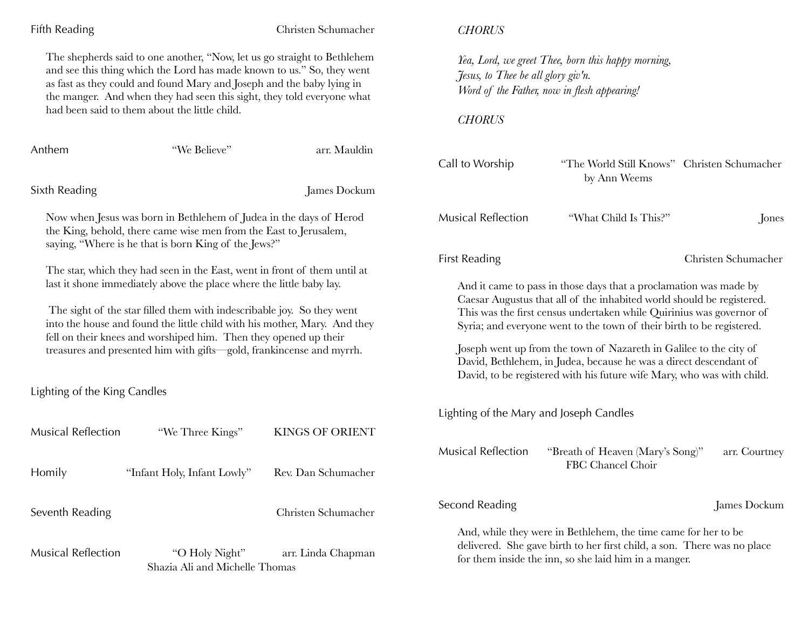| Fifth Reading                                                                                                                                                                                                                                                                                                                                                                                                                                        |                                                  | Christen Schumacher                                                                                                                                                                                                                                                                                                                                               | <b>CHORUS</b>                                                                                                                                                                                      |                                                             |               |
|------------------------------------------------------------------------------------------------------------------------------------------------------------------------------------------------------------------------------------------------------------------------------------------------------------------------------------------------------------------------------------------------------------------------------------------------------|--------------------------------------------------|-------------------------------------------------------------------------------------------------------------------------------------------------------------------------------------------------------------------------------------------------------------------------------------------------------------------------------------------------------------------|----------------------------------------------------------------------------------------------------------------------------------------------------------------------------------------------------|-------------------------------------------------------------|---------------|
| The shepherds said to one another, "Now, let us go straight to Bethlehem<br>and see this thing which the Lord has made known to us." So, they went<br>as fast as they could and found Mary and Joseph and the baby lying in<br>the manger. And when they had seen this sight, they told everyone what<br>had been said to them about the little child.                                                                                               |                                                  | Yea, Lord, we greet Thee, born this happy morning,<br>Jesus, to Thee be all glory giv'n.<br>Word of the Father, now in flesh appearing!                                                                                                                                                                                                                           |                                                                                                                                                                                                    |                                                             |               |
|                                                                                                                                                                                                                                                                                                                                                                                                                                                      |                                                  |                                                                                                                                                                                                                                                                                                                                                                   | <b>CHORUS</b>                                                                                                                                                                                      |                                                             |               |
| Anthem                                                                                                                                                                                                                                                                                                                                                                                                                                               | "We Believe"                                     | arr. Mauldin                                                                                                                                                                                                                                                                                                                                                      | Call to Worship                                                                                                                                                                                    | "The World Still Knows" Christen Schumacher<br>by Ann Weems |               |
| Sixth Reading                                                                                                                                                                                                                                                                                                                                                                                                                                        |                                                  | James Dockum                                                                                                                                                                                                                                                                                                                                                      |                                                                                                                                                                                                    |                                                             |               |
| Now when Jesus was born in Bethlehem of Judea in the days of Herod<br>the King, behold, there came wise men from the East to Jerusalem,<br>saying, "Where is he that is born King of the Jews?"                                                                                                                                                                                                                                                      |                                                  |                                                                                                                                                                                                                                                                                                                                                                   | <b>Musical Reflection</b>                                                                                                                                                                          | "What Child Is This?"                                       | Jones         |
| The star, which they had seen in the East, went in front of them until at<br>last it shone immediately above the place where the little baby lay.<br>The sight of the star filled them with indescribable joy. So they went<br>into the house and found the little child with his mother, Mary. And they<br>fell on their knees and worshiped him. Then they opened up their<br>treasures and presented him with gifts-gold, frankincense and myrrh. |                                                  | <b>First Reading</b>                                                                                                                                                                                                                                                                                                                                              |                                                                                                                                                                                                    | Christen Schumacher                                         |               |
|                                                                                                                                                                                                                                                                                                                                                                                                                                                      |                                                  | And it came to pass in those days that a proclamation was made by<br>Caesar Augustus that all of the inhabited world should be registered.<br>This was the first census undertaken while Quirinius was governor of<br>Syria; and everyone went to the town of their birth to be registered.<br>Joseph went up from the town of Nazareth in Galilee to the city of |                                                                                                                                                                                                    |                                                             |               |
|                                                                                                                                                                                                                                                                                                                                                                                                                                                      |                                                  |                                                                                                                                                                                                                                                                                                                                                                   | David, Bethlehem, in Judea, because he was a direct descendant of<br>David, to be registered with his future wife Mary, who was with child.                                                        |                                                             |               |
| Lighting of the King Candles                                                                                                                                                                                                                                                                                                                                                                                                                         |                                                  |                                                                                                                                                                                                                                                                                                                                                                   |                                                                                                                                                                                                    |                                                             |               |
|                                                                                                                                                                                                                                                                                                                                                                                                                                                      |                                                  |                                                                                                                                                                                                                                                                                                                                                                   | Lighting of the Mary and Joseph Candles                                                                                                                                                            |                                                             |               |
| Musical Reflection                                                                                                                                                                                                                                                                                                                                                                                                                                   | "We Three Kings"                                 | <b>KINGS OF ORIENT</b>                                                                                                                                                                                                                                                                                                                                            |                                                                                                                                                                                                    |                                                             |               |
| Homily                                                                                                                                                                                                                                                                                                                                                                                                                                               | "Infant Holy, Infant Lowly"                      | Rev. Dan Schumacher                                                                                                                                                                                                                                                                                                                                               | <b>Musical Reflection</b>                                                                                                                                                                          | "Breath of Heaven (Mary's Song)"<br>FBC Chancel Choir       | arr. Courtney |
| Seventh Reading                                                                                                                                                                                                                                                                                                                                                                                                                                      |                                                  | Christen Schumacher                                                                                                                                                                                                                                                                                                                                               | Second Reading                                                                                                                                                                                     |                                                             | James Dockum  |
| <b>Musical Reflection</b>                                                                                                                                                                                                                                                                                                                                                                                                                            | "O Holy Night"<br>Shazia Ali and Michelle Thomas | arr. Linda Chapman                                                                                                                                                                                                                                                                                                                                                | And, while they were in Bethlehem, the time came for her to be<br>delivered. She gave birth to her first child, a son. There was no place<br>for them inside the inn, so she laid him in a manger. |                                                             |               |